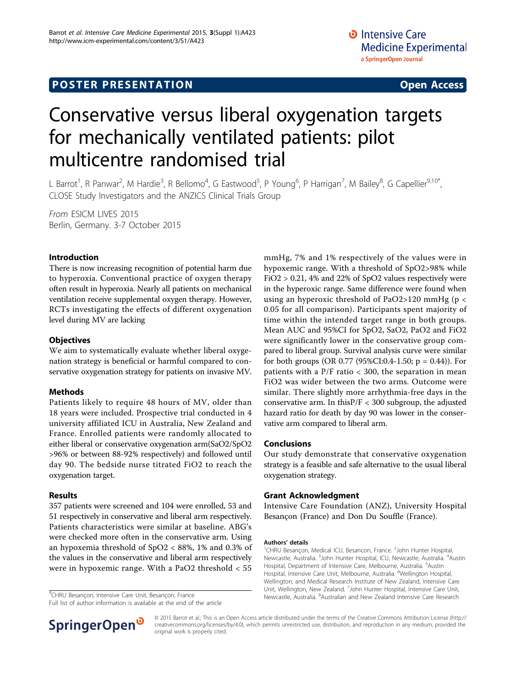# **POSTER PRESENTATION CONSUMING ACCESS**

# Conservative versus liberal oxygenation targets for mechanically ventilated patients: pilot multicentre randomised trial

L Barrot<sup>1</sup>, R Panwar<sup>2</sup>, M Hardie<sup>3</sup>, R Bellomo<sup>4</sup>, G Eastwood<sup>5</sup>, P Young<sup>6</sup>, P Harrigan<sup>7</sup>, M Bailey<sup>8</sup>, G Capellier<sup>9,10\*</sup>, CLOSE Study Investigators and the ANZICS Clinical Trials Group

From ESICM LIVES 2015 Berlin, Germany. 3-7 October 2015

# Introduction

There is now increasing recognition of potential harm due to hyperoxia. Conventional practice of oxygen therapy often result in hyperoxia. Nearly all patients on mechanical ventilation receive supplemental oxygen therapy. However, RCTs investigating the effects of different oxygenation level during MV are lacking

## **Objectives**

We aim to systematically evaluate whether liberal oxygenation strategy is beneficial or harmful compared to conservative oxygenation strategy for patients on invasive MV.

### Methods

Patients likely to require 48 hours of MV, older than 18 years were included. Prospective trial conducted in 4 university affiliated ICU in Australia, New Zealand and France. Enrolled patients were randomly allocated to either liberal or conservative oxygenation arm(SaO2/SpO2 >96% or between 88-92% respectively) and followed until day 90. The bedside nurse titrated FiO2 to reach the oxygenation target.

### Results

357 patients were screened and 104 were enrolled, 53 and 51 respectively in conservative and liberal arm respectively. Patients characteristics were similar at baseline. ABG's were checked more often in the conservative arm. Using an hypoxemia threshold of SpO2 < 88%, 1% and 0.3% of the values in the conservative and liberal arm respectively were in hypoxemic range. With a PaO2 threshold < 55

<sup>9</sup>CHRU Besançon, Intensive Care Unit, Besançon, France

Full list of author information is available at the end of the article



mmHg, 7% and 1% respectively of the values were in hypoxemic range. With a threshold of SpO2>98% while FiO2 > 0.21, 4% and 22% of SpO2 values respectively were in the hyperoxic range. Same difference were found when using an hyperoxic threshold of PaO2>120 mmHg ( $p <$ 0.05 for all comparison). Participants spent majority of time within the intended target range in both groups. Mean AUC and 95%CI for SpO2, SaO2, PaO2 and FiO2 were significantly lower in the conservative group compared to liberal group. Survival analysis curve were similar for both groups (OR 0.77 (95%CI:0.4-1.50;  $p = 0.44$ )). For patients with a P/F ratio < 300, the separation in mean FiO2 was wider between the two arms. Outcome were similar. There slightly more arrhythmia-free days in the conservative arm. In thisP/F < 300 subgroup, the adjusted hazard ratio for death by day 90 was lower in the conservative arm compared to liberal arm.

### Conclusions

Our study demonstrate that conservative oxygenation strategy is a feasible and safe alternative to the usual liberal oxygenation strategy.

### Grant Acknowledgment

Intensive Care Foundation (ANZ), University Hospital Besançon (France) and Don Du Souffle (France).

#### Authors' details <sup>1</sup>

© 2015 Barrot et al.; This is an Open Access article distributed under the terms of the Creative Commons Attribution License [\(http://](http://creativecommons.org/licenses/by/4.0) [creativecommons.org/licenses/by/4.0](http://creativecommons.org/licenses/by/4.0)), which permits unrestricted use, distribution, and reproduction in any medium, provided the original work is properly cited.

CHRU Besançon, Medical ICU, Besancon, France. <sup>2</sup>John Hunter Hospital, Newcastle, Australia. <sup>3</sup>John Hunter Hospital, ICU, Newcastle, Australia. <sup>4</sup>Austin Hospital, Department of Intensive Care, Melbourne, Australia. <sup>5</sup>Austin Hospital, Intensive Care Unit, Melbourne, Australia. <sup>6</sup>Wellington Hospital Wellington, and Medical Research Institute of New Zealand, Intensive Care Unit, Wellington, New Zealand. <sup>7</sup>John Hunter Hospital, Intensive Care Unit <sup>9</sup>CHRU Besançon, Intensive Care Unit, Besançon, France Newcastle, Australia.<sup>8</sup> Australian and New Zealand Intensive Care Research 9CHRU Besançon, Internative Care Research 9CHRU Besançon, France 2008